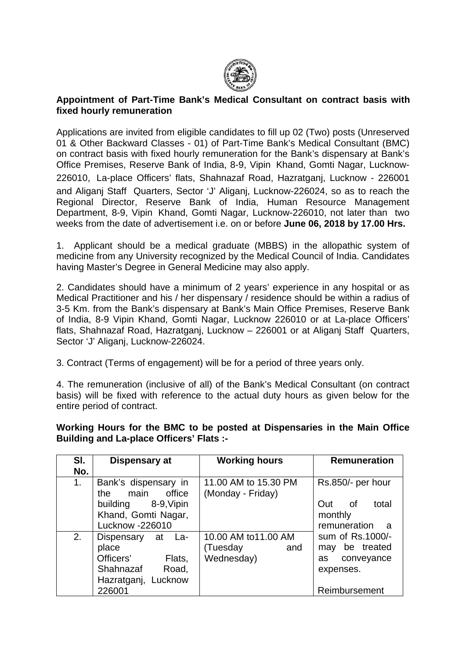

#### **Appointment of Part-Time Bank's Medical Consultant on contract basis with fixed hourly remuneration**

Applications are invited from eligible candidates to fill up 02 (Two) posts (Unreserved 01 & Other Backward Classes - 01) of Part-Time Bank's Medical Consultant (BMC) on contract basis with fixed hourly remuneration for the Bank's dispensary at Bank's Office Premises, Reserve Bank of India, 8-9, Vipin Khand, Gomti Nagar, Lucknow-226010, La-place Officers' flats, Shahnazaf Road, Hazratganj, Lucknow - 226001 and Aliganj Staff Quarters, Sector 'J' Aliganj, Lucknow-226024, so as to reach the Regional Director, Reserve Bank of India, Human Resource Management Department, 8-9, Vipin Khand, Gomti Nagar, Lucknow-226010, not later than two weeks from the date of advertisement i.e. on or before **June 06, 2018 by 17.00 Hrs.**

1. Applicant should be a medical graduate (MBBS) in the allopathic system of medicine from any University recognized by the Medical Council of India. Candidates having Master's Degree in General Medicine may also apply.

2. Candidates should have a minimum of 2 years' experience in any hospital or as Medical Practitioner and his / her dispensary / residence should be within a radius of 3-5 Km. from the Bank's dispensary at Bank's Main Office Premises, Reserve Bank of India, 8-9 Vipin Khand, Gomti Nagar, Lucknow 226010 or at La-place Officers' flats, Shahnazaf Road, Hazratganj, Lucknow – 226001 or at Aliganj Staff Quarters, Sector 'J' Aliganj, Lucknow-226024.

3. Contract (Terms of engagement) will be for a period of three years only.

4. The remuneration (inclusive of all) of the Bank's Medical Consultant (on contract basis) will be fixed with reference to the actual duty hours as given below for the entire period of contract.

| SI.<br>No. | Dispensary at                                                                                                  | <b>Working hours</b>                                 | <b>Remuneration</b>                                                                  |
|------------|----------------------------------------------------------------------------------------------------------------|------------------------------------------------------|--------------------------------------------------------------------------------------|
| 1.         | Bank's dispensary in<br>office<br>main<br>the<br>building 8-9, Vipin<br>Khand, Gomti Nagar,<br>Lucknow -226010 | 11.00 AM to 15.30 PM<br>(Monday - Friday)            | Rs.850/- per hour<br>Out<br>total<br>_of<br>monthly<br>remuneration<br>- a           |
| 2.         | Dispensary<br>at La-<br>place<br>Officers'<br>Flats,<br>Shahnazaf Road,<br>Hazratganj, Lucknow<br>226001       | 10.00 AM to11.00 AM<br>(Tuesday<br>and<br>Wednesday) | sum of Rs.1000/-<br>may be treated<br>conveyance<br>as<br>expenses.<br>Reimbursement |

**Working Hours for the BMC to be posted at Dispensaries in the Main Office Building and La-place Officers' Flats :-**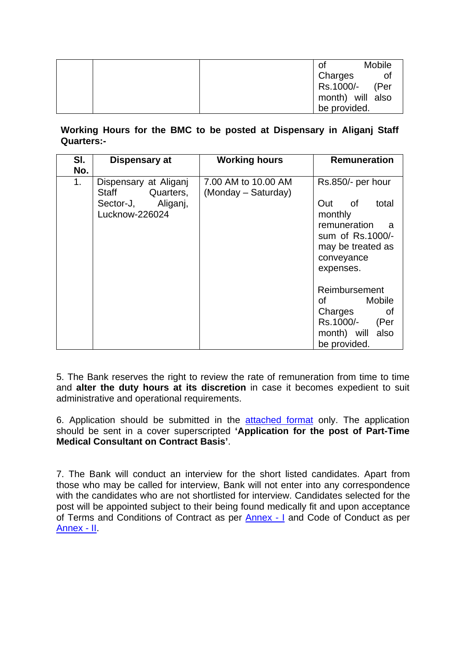|  | Οt | <b>Mobile</b>    |
|--|----|------------------|
|  |    | Charges          |
|  |    | Rs.1000/- (Per   |
|  |    | month) will also |
|  |    | be provided.     |

**Working Hours for the BMC to be posted at Dispensary in Aliganj Staff Quarters:-**

| SI.                   | Dispensary at                                                                    | <b>Working hours</b>                       | <b>Remuneration</b>                                                                                                                           |
|-----------------------|----------------------------------------------------------------------------------|--------------------------------------------|-----------------------------------------------------------------------------------------------------------------------------------------------|
| No.<br>1 <sub>1</sub> | Dispensary at Aliganj<br>Staff Quarters,<br>Sector-J, Aliganj,<br>Lucknow-226024 | 7.00 AM to 10.00 AM<br>(Monday – Saturday) | Rs.850/- per hour<br>Out<br>of<br>total<br>monthly<br>remuneration<br>- a<br>sum of Rs.1000/-<br>may be treated as<br>conveyance<br>expenses. |
|                       |                                                                                  |                                            | Reimbursement<br>Mobile<br>of<br>Charges<br>of<br>Rs.1000/-<br>(Per<br>month) will also<br>be provided.                                       |

5. The Bank reserves the right to review the rate of remuneration from time to time and **alter the duty hours at its discretion** in case it becomes expedient to suit administrative and operational requirements.

6. Application should be submitted in the [attached format](#page-7-0) only. The application should be sent in a cover superscripted **'Application for the post of Part-Time Medical Consultant on Contract Basis'**.

7. The Bank will conduct an interview for the short listed candidates. Apart from those who may be called for interview, Bank will not enter into any correspondence with the candidates who are not shortlisted for interview. Candidates selected for the post will be appointed subject to their being found medically fit and upon acceptance of Terms and Conditions of Contract as per [Annex -](#page-2-0) I and Code of Conduct as per [Annex -](#page-5-0) II.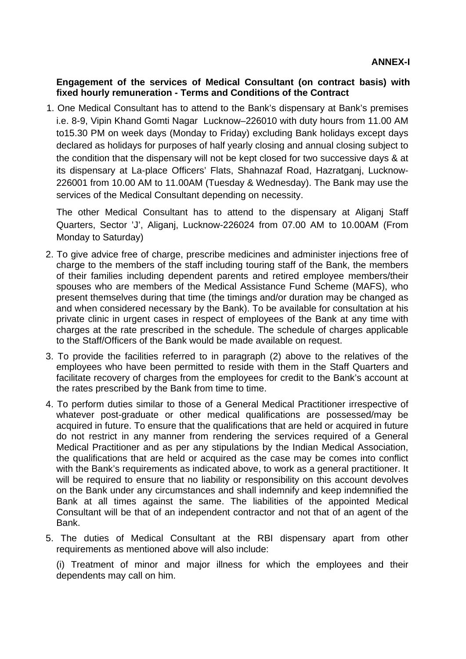### <span id="page-2-0"></span>**Engagement of the services of Medical Consultant (on contract basis) with fixed hourly remuneration - Terms and Conditions of the Contract**

1. One Medical Consultant has to attend to the Bank's dispensary at Bank's premises i.e. 8-9, Vipin Khand Gomti Nagar Lucknow–226010 with duty hours from 11.00 AM to15.30 PM on week days (Monday to Friday) excluding Bank holidays except days declared as holidays for purposes of half yearly closing and annual closing subject to the condition that the dispensary will not be kept closed for two successive days & at its dispensary at La-place Officers' Flats, Shahnazaf Road, Hazratganj, Lucknow-226001 from 10.00 AM to 11.00AM (Tuesday & Wednesday). The Bank may use the services of the Medical Consultant depending on necessity.

The other Medical Consultant has to attend to the dispensary at Aliganj Staff Quarters, Sector 'J', Aliganj, Lucknow-226024 from 07.00 AM to 10.00AM (From Monday to Saturday)

- 2. To give advice free of charge, prescribe medicines and administer injections free of charge to the members of the staff including touring staff of the Bank, the members of their families including dependent parents and retired employee members/their spouses who are members of the Medical Assistance Fund Scheme (MAFS), who present themselves during that time (the timings and/or duration may be changed as and when considered necessary by the Bank). To be available for consultation at his private clinic in urgent cases in respect of employees of the Bank at any time with charges at the rate prescribed in the schedule. The schedule of charges applicable to the Staff/Officers of the Bank would be made available on request.
- 3. To provide the facilities referred to in paragraph (2) above to the relatives of the employees who have been permitted to reside with them in the Staff Quarters and facilitate recovery of charges from the employees for credit to the Bank's account at the rates prescribed by the Bank from time to time.
- 4. To perform duties similar to those of a General Medical Practitioner irrespective of whatever post-graduate or other medical qualifications are possessed/may be acquired in future. To ensure that the qualifications that are held or acquired in future do not restrict in any manner from rendering the services required of a General Medical Practitioner and as per any stipulations by the Indian Medical Association, the qualifications that are held or acquired as the case may be comes into conflict with the Bank's requirements as indicated above, to work as a general practitioner. It will be required to ensure that no liability or responsibility on this account devolves on the Bank under any circumstances and shall indemnify and keep indemnified the Bank at all times against the same. The liabilities of the appointed Medical Consultant will be that of an independent contractor and not that of an agent of the Bank.
- 5. The duties of Medical Consultant at the RBI dispensary apart from other requirements as mentioned above will also include:

(i) Treatment of minor and major illness for which the employees and their dependents may call on him.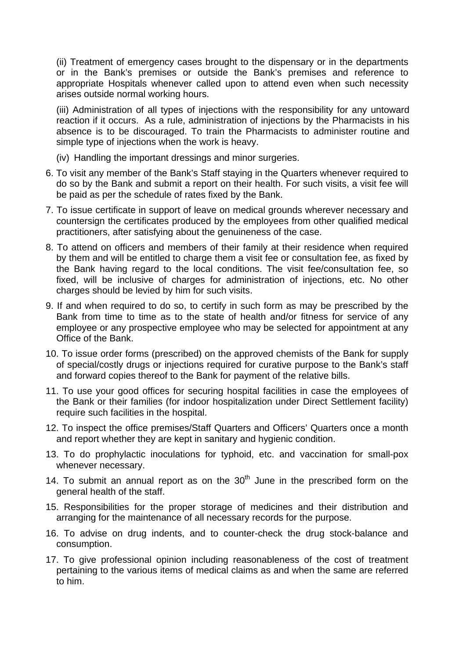(ii) Treatment of emergency cases brought to the dispensary or in the departments or in the Bank's premises or outside the Bank's premises and reference to appropriate Hospitals whenever called upon to attend even when such necessity arises outside normal working hours.

(iii) Administration of all types of injections with the responsibility for any untoward reaction if it occurs. As a rule, administration of injections by the Pharmacists in his absence is to be discouraged. To train the Pharmacists to administer routine and simple type of injections when the work is heavy.

- (iv) Handling the important dressings and minor surgeries.
- 6. To visit any member of the Bank's Staff staying in the Quarters whenever required to do so by the Bank and submit a report on their health. For such visits, a visit fee will be paid as per the schedule of rates fixed by the Bank.
- 7. To issue certificate in support of leave on medical grounds wherever necessary and countersign the certificates produced by the employees from other qualified medical practitioners, after satisfying about the genuineness of the case.
- 8. To attend on officers and members of their family at their residence when required by them and will be entitled to charge them a visit fee or consultation fee, as fixed by the Bank having regard to the local conditions. The visit fee/consultation fee, so fixed, will be inclusive of charges for administration of injections, etc. No other charges should be levied by him for such visits.
- 9. If and when required to do so, to certify in such form as may be prescribed by the Bank from time to time as to the state of health and/or fitness for service of any employee or any prospective employee who may be selected for appointment at any Office of the Bank.
- 10. To issue order forms (prescribed) on the approved chemists of the Bank for supply of special/costly drugs or injections required for curative purpose to the Bank's staff and forward copies thereof to the Bank for payment of the relative bills.
- 11. To use your good offices for securing hospital facilities in case the employees of the Bank or their families (for indoor hospitalization under Direct Settlement facility) require such facilities in the hospital.
- 12. To inspect the office premises/Staff Quarters and Officers' Quarters once a month and report whether they are kept in sanitary and hygienic condition.
- 13. To do prophylactic inoculations for typhoid, etc. and vaccination for small-pox whenever necessary.
- 14. To submit an annual report as on the  $30<sup>th</sup>$  June in the prescribed form on the general health of the staff.
- 15. Responsibilities for the proper storage of medicines and their distribution and arranging for the maintenance of all necessary records for the purpose.
- 16. To advise on drug indents, and to counter-check the drug stock-balance and consumption.
- 17. To give professional opinion including reasonableness of the cost of treatment pertaining to the various items of medical claims as and when the same are referred to him.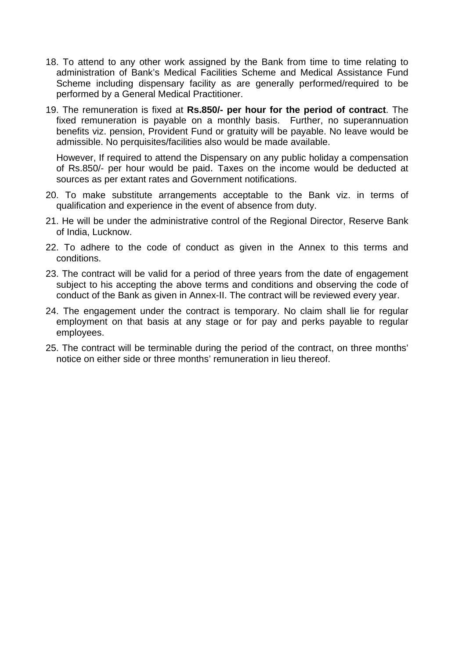- 18. To attend to any other work assigned by the Bank from time to time relating to administration of Bank's Medical Facilities Scheme and Medical Assistance Fund Scheme including dispensary facility as are generally performed/required to be performed by a General Medical Practitioner.
- 19. The remuneration is fixed at **Rs.850/- per hour for the period of contract**. The fixed remuneration is payable on a monthly basis. Further, no superannuation benefits viz. pension, Provident Fund or gratuity will be payable. No leave would be admissible. No perquisites/facilities also would be made available.

However, If required to attend the Dispensary on any public holiday a compensation of Rs.850/- per hour would be paid. Taxes on the income would be deducted at sources as per extant rates and Government notifications.

- 20. To make substitute arrangements acceptable to the Bank viz. in terms of qualification and experience in the event of absence from duty.
- 21. He will be under the administrative control of the Regional Director, Reserve Bank of India, Lucknow.
- 22. To adhere to the code of conduct as given in the Annex to this terms and conditions.
- 23. The contract will be valid for a period of three years from the date of engagement subject to his accepting the above terms and conditions and observing the code of conduct of the Bank as given in Annex-II. The contract will be reviewed every year.
- 24. The engagement under the contract is temporary. No claim shall lie for regular employment on that basis at any stage or for pay and perks payable to regular employees.
- 25. The contract will be terminable during the period of the contract, on three months' notice on either side or three months' remuneration in lieu thereof.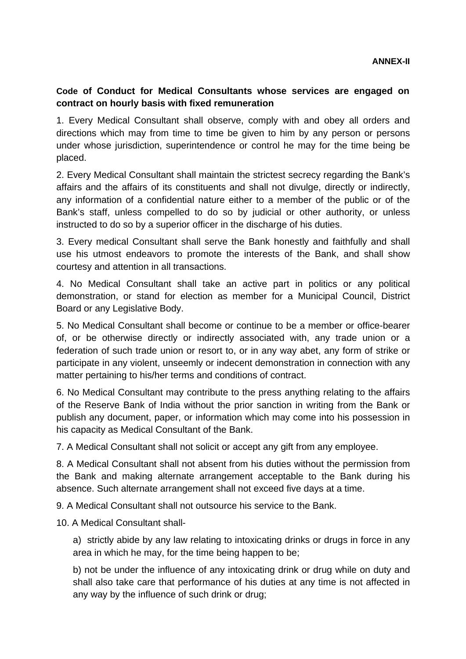# <span id="page-5-0"></span>**Code of Conduct for Medical Consultants whose services are engaged on contract on hourly basis with fixed remuneration**

1. Every Medical Consultant shall observe, comply with and obey all orders and directions which may from time to time be given to him by any person or persons under whose jurisdiction, superintendence or control he may for the time being be placed.

2. Every Medical Consultant shall maintain the strictest secrecy regarding the Bank's affairs and the affairs of its constituents and shall not divulge, directly or indirectly, any information of a confidential nature either to a member of the public or of the Bank's staff, unless compelled to do so by judicial or other authority, or unless instructed to do so by a superior officer in the discharge of his duties.

3. Every medical Consultant shall serve the Bank honestly and faithfully and shall use his utmost endeavors to promote the interests of the Bank, and shall show courtesy and attention in all transactions.

4. No Medical Consultant shall take an active part in politics or any political demonstration, or stand for election as member for a Municipal Council, District Board or any Legislative Body.

5. No Medical Consultant shall become or continue to be a member or office-bearer of, or be otherwise directly or indirectly associated with, any trade union or a federation of such trade union or resort to, or in any way abet, any form of strike or participate in any violent, unseemly or indecent demonstration in connection with any matter pertaining to his/her terms and conditions of contract.

6. No Medical Consultant may contribute to the press anything relating to the affairs of the Reserve Bank of India without the prior sanction in writing from the Bank or publish any document, paper, or information which may come into his possession in his capacity as Medical Consultant of the Bank.

7. A Medical Consultant shall not solicit or accept any gift from any employee.

8. A Medical Consultant shall not absent from his duties without the permission from the Bank and making alternate arrangement acceptable to the Bank during his absence. Such alternate arrangement shall not exceed five days at a time.

9. A Medical Consultant shall not outsource his service to the Bank.

10. A Medical Consultant shall-

a) strictly abide by any law relating to intoxicating drinks or drugs in force in any area in which he may, for the time being happen to be;

b) not be under the influence of any intoxicating drink or drug while on duty and shall also take care that performance of his duties at any time is not affected in any way by the influence of such drink or drug;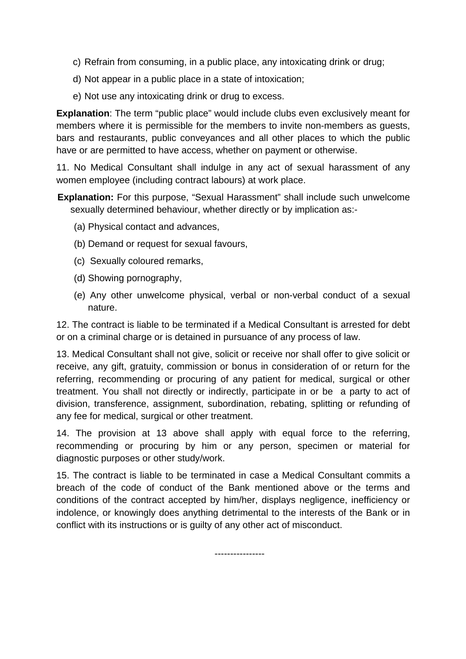- c) Refrain from consuming, in a public place, any intoxicating drink or drug;
- d) Not appear in a public place in a state of intoxication;
- e) Not use any intoxicating drink or drug to excess.

**Explanation**: The term "public place" would include clubs even exclusively meant for members where it is permissible for the members to invite non-members as guests, bars and restaurants, public conveyances and all other places to which the public have or are permitted to have access, whether on payment or otherwise.

11. No Medical Consultant shall indulge in any act of sexual harassment of any women employee (including contract labours) at work place.

**Explanation:** For this purpose, "Sexual Harassment" shall include such unwelcome sexually determined behaviour, whether directly or by implication as:-

- (a) Physical contact and advances,
- (b) Demand or request for sexual favours,
- (c) Sexually coloured remarks,
- (d) Showing pornography,
- (e) Any other unwelcome physical, verbal or non-verbal conduct of a sexual nature.

12. The contract is liable to be terminated if a Medical Consultant is arrested for debt or on a criminal charge or is detained in pursuance of any process of law.

13. Medical Consultant shall not give, solicit or receive nor shall offer to give solicit or receive, any gift, gratuity, commission or bonus in consideration of or return for the referring, recommending or procuring of any patient for medical, surgical or other treatment. You shall not directly or indirectly, participate in or be a party to act of division, transference, assignment, subordination, rebating, splitting or refunding of any fee for medical, surgical or other treatment.

14. The provision at 13 above shall apply with equal force to the referring, recommending or procuring by him or any person, specimen or material for diagnostic purposes or other study/work.

15. The contract is liable to be terminated in case a Medical Consultant commits a breach of the code of conduct of the Bank mentioned above or the terms and conditions of the contract accepted by him/her, displays negligence, inefficiency or indolence, or knowingly does anything detrimental to the interests of the Bank or in conflict with its instructions or is guilty of any other act of misconduct.

----------------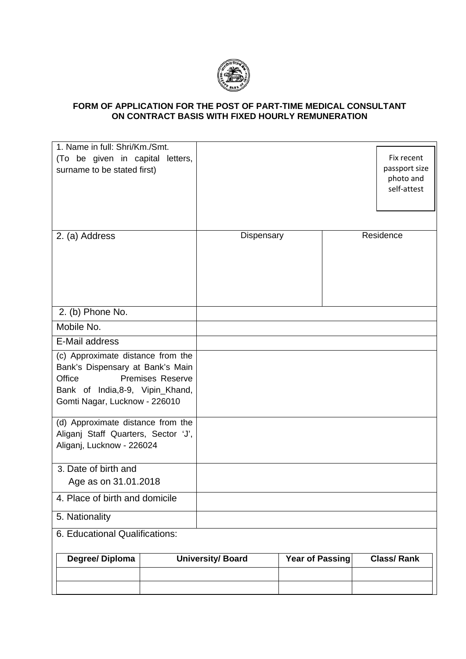

#### <span id="page-7-0"></span>**FORM OF APPLICATION FOR THE POST OF PART-TIME MEDICAL CONSULTANT ON CONTRACT BASIS WITH FIXED HOURLY REMUNERATION**

| 1. Name in full: Shri/Km./Smt.<br>(To be given in capital letters,<br>surname to be stated first)                                                                               |                          |                        | Fix recent<br>passport size<br>photo and<br>self-attest |
|---------------------------------------------------------------------------------------------------------------------------------------------------------------------------------|--------------------------|------------------------|---------------------------------------------------------|
| 2. (a) Address                                                                                                                                                                  | Dispensary               |                        | Residence                                               |
| 2. (b) Phone No.                                                                                                                                                                |                          |                        |                                                         |
| Mobile No.                                                                                                                                                                      |                          |                        |                                                         |
| E-Mail address                                                                                                                                                                  |                          |                        |                                                         |
| (c) Approximate distance from the<br>Bank's Dispensary at Bank's Main<br>Office<br><b>Premises Reserve</b><br>Bank of India, 8-9, Vipin_Khand,<br>Gomti Nagar, Lucknow - 226010 |                          |                        |                                                         |
| (d) Approximate distance from the<br>Aliganj Staff Quarters, Sector 'J',<br>Aliganj, Lucknow - 226024                                                                           |                          |                        |                                                         |
| 3. Date of birth and                                                                                                                                                            |                          |                        |                                                         |
| Age as on 31.01.2018                                                                                                                                                            |                          |                        |                                                         |
| 4. Place of birth and domicile                                                                                                                                                  |                          |                        |                                                         |
| 5. Nationality                                                                                                                                                                  |                          |                        |                                                         |
| 6. Educational Qualifications:                                                                                                                                                  |                          |                        |                                                         |
| Degree/Diploma                                                                                                                                                                  | <b>University/ Board</b> | <b>Year of Passing</b> | <b>Class/Rank</b>                                       |
|                                                                                                                                                                                 |                          |                        |                                                         |